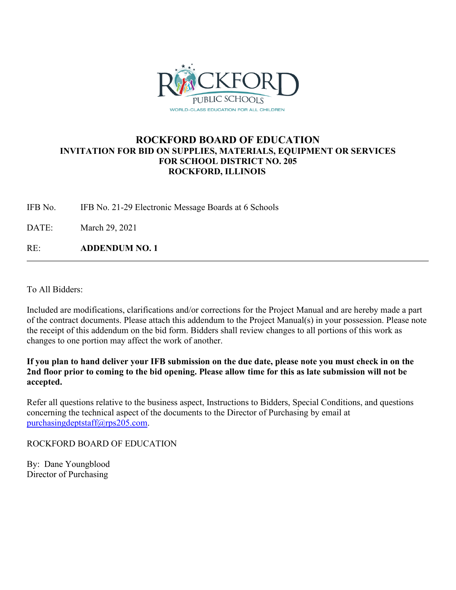

## **ROCKFORD BOARD OF EDUCATION INVITATION FOR BID ON SUPPLIES, MATERIALS, EQUIPMENT OR SERVICES FOR SCHOOL DISTRICT NO. 205 ROCKFORD, ILLINOIS**

IFB No. IFB No. 21-29 Electronic Message Boards at 6 Schools

DATE: March 29, 2021

RE: **ADDENDUM NO. 1**

To All Bidders:

Included are modifications, clarifications and/or corrections for the Project Manual and are hereby made a part of the contract documents. Please attach this addendum to the Project Manual(s) in your possession. Please note the receipt of this addendum on the bid form. Bidders shall review changes to all portions of this work as changes to one portion may affect the work of another.

**If you plan to hand deliver your IFB submission on the due date, please note you must check in on the 2nd floor prior to coming to the bid opening. Please allow time for this as late submission will not be accepted.**

Refer all questions relative to the business aspect, Instructions to Bidders, Special Conditions, and questions concerning the technical aspect of the documents to the Director of Purchasing by email at [purchasingdeptstaff@rps205.com.](mailto:purchasingdeptstaff@rps205.com)

ROCKFORD BOARD OF EDUCATION

By: Dane Youngblood Director of Purchasing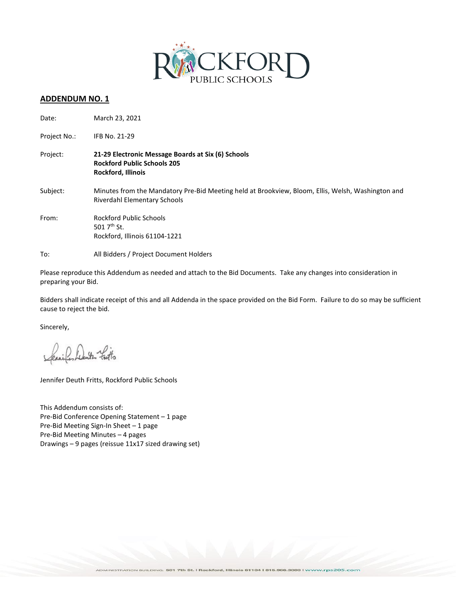

### **ADDENDUM NO. 1**

| Date:        | March 23, 2021                                                                                                                    |
|--------------|-----------------------------------------------------------------------------------------------------------------------------------|
| Project No.: | IFB No. 21-29                                                                                                                     |
| Project:     | 21-29 Electronic Message Boards at Six (6) Schools<br><b>Rockford Public Schools 205</b><br><b>Rockford, Illinois</b>             |
| Subject:     | Minutes from the Mandatory Pre-Bid Meeting held at Brookview, Bloom, Ellis, Welsh, Washington and<br>Riverdahl Elementary Schools |
| From:        | <b>Rockford Public Schools</b><br>501 $7th$ St.<br>Rockford, Illinois 61104-1221                                                  |
| To:          | All Bidders / Project Document Holders                                                                                            |

Please reproduce this Addendum as needed and attach to the Bid Documents. Take any changes into consideration in preparing your Bid.

Bidders shall indicate receipt of this and all Addenda in the space provided on the Bid Form. Failure to do so may be sufficient cause to reject the bid.

Sincerely,

Deuts- facts

Jennifer Deuth Fritts, Rockford Public Schools

This Addendum consists of: Pre-Bid Conference Opening Statement – 1 page Pre-Bid Meeting Sign-In Sheet – 1 page Pre-Bid Meeting Minutes – 4 pages Drawings – 9 pages (reissue 11x17 sized drawing set)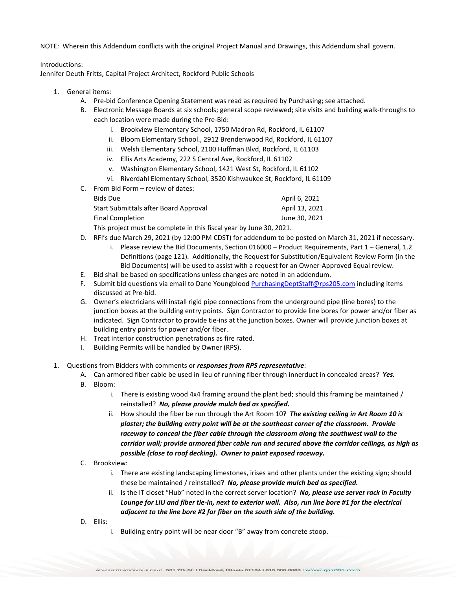NOTE: Wherein this Addendum conflicts with the original Project Manual and Drawings, this Addendum shall govern.

#### Introductions:

Jennifer Deuth Fritts, Capital Project Architect, Rockford Public Schools

- 1. General items:
	- A. Pre-bid Conference Opening Statement was read as required by Purchasing; see attached.
	- B. Electronic Message Boards at six schools; general scope reviewed; site visits and building walk-throughs to each location were made during the Pre-Bid:
		- i. Brookview Elementary School, 1750 Madron Rd, Rockford, IL 61107
		- ii. Bloom Elementary School., 2912 Brendenwood Rd, Rockford, IL 61107
		- iii. Welsh Elementary School, 2100 Huffman Blvd, Rockford, IL 61103
		- iv. Ellis Arts Academy, 222 S Central Ave, Rockford, IL 61102
		- v. Washington Elementary School, 1421 West St, Rockford, IL 61102
		- vi. Riverdahl Elementary School, 3520 Kishwaukee St, Rockford, IL 61109
	- C. From Bid Form review of dates:

| Bids Due                              | April 6, 2021  |
|---------------------------------------|----------------|
| Start Submittals after Board Approval | April 13, 2021 |
| <b>Final Completion</b>               | June 30, 2021  |

This project must be complete in this fiscal year by June 30, 2021.

- D. RFI's due March 29, 2021 (by 12:00 PM CDST) for addendum to be posted on March 31, 2021 if necessary.
	- i. Please review the Bid Documents, Section 016000 Product Requirements, Part 1 General, 1.2 Definitions (page 121). Additionally, the Request for Substitution/Equivalent Review Form (in the Bid Documents) will be used to assist with a request for an Owner-Approved Equal review.
- E. Bid shall be based on specifications unless changes are noted in an addendum.
- F. Submit bid questions via email to Dane Youngbloo[d PurchasingDeptStaff@rps205.com](mailto:PurchasingDeptStaff@rps205.com) including items discussed at Pre-bid.
- G. Owner's electricians will install rigid pipe connections from the underground pipe (line bores) to the junction boxes at the building entry points. Sign Contractor to provide line bores for power and/or fiber as indicated. Sign Contractor to provide tie-ins at the junction boxes. Owner will provide junction boxes at building entry points for power and/or fiber.
- H. Treat interior construction penetrations as fire rated.
- I. Building Permits will be handled by Owner (RPS).
- 1. Questions from Bidders with comments or *responses from RPS representative*:
	- A. Can armored fiber cable be used in lieu of running fiber through innerduct in concealed areas? *Yes.*
	- B. Bloom:
		- i. There is existing wood 4x4 framing around the plant bed; should this framing be maintained / reinstalled? *No, please provide mulch bed as specified.*
		- ii. How should the fiber be run through the Art Room 10? *The existing ceiling in Art Room 10 is plaster; the building entry point will be at the southeast corner of the classroom. Provide raceway to conceal the fiber cable through the classroom along the southwest wall to the corridor wall; provide armored fiber cable run and secured above the corridor ceilings, as high as possible (close to roof decking). Owner to paint exposed raceway.*
	- C. Brookview:
		- i. There are existing landscaping limestones, irises and other plants under the existing sign; should these be maintained / reinstalled? *No, please provide mulch bed as specified.*
		- ii. Is the IT closet "Hub" noted in the correct server location? *No, please use server rack in Faculty Lounge for LIU and fiber tie-in, next to exterior wall. Also, run line bore #1 for the electrical adjacent to the line bore #2 for fiber on the south side of the building.*
	- D. Ellis:
		- i. Building entry point will be near door "B" away from concrete stoop.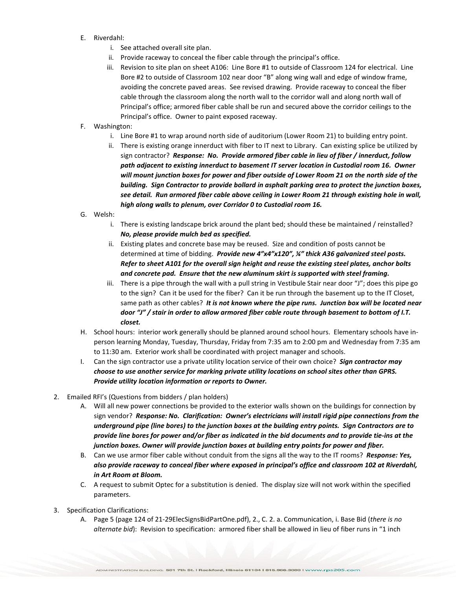- E. Riverdahl:
	- i. See attached overall site plan.
	- ii. Provide raceway to conceal the fiber cable through the principal's office.
	- iii. Revision to site plan on sheet A106: Line Bore #1 to outside of Classroom 124 for electrical. Line Bore #2 to outside of Classroom 102 near door "B" along wing wall and edge of window frame, avoiding the concrete paved areas. See revised drawing. Provide raceway to conceal the fiber cable through the classroom along the north wall to the corridor wall and along north wall of Principal's office; armored fiber cable shall be run and secured above the corridor ceilings to the Principal's office. Owner to paint exposed raceway.
- F. Washington:
	- i. Line Bore #1 to wrap around north side of auditorium (Lower Room 21) to building entry point.
	- ii. There is existing orange innerduct with fiber to IT next to Library. Can existing splice be utilized by sign contractor? *Response: No. Provide armored fiber cable in lieu of fiber / innerduct, follow path adjacent to existing innerduct to basement IT server location in Custodial room 16. Owner will mount junction boxes for power and fiber outside of Lower Room 21 on the north side of the building. Sign Contractor to provide bollard in asphalt parking area to protect the junction boxes, see detail. Run armored fiber cable above ceiling in Lower Room 21 through existing hole in wall, high along walls to plenum, over Corridor 0 to Custodial room 16.*
- G. Welsh:
	- i. There is existing landscape brick around the plant bed; should these be maintained / reinstalled? *No, please provide mulch bed as specified.*
	- ii. Existing plates and concrete base may be reused. Size and condition of posts cannot be determined at time of bidding. *Provide new 4"x4"x120", ¼" thick A36 galvanized steel posts. Refer to sheet A101 for the overall sign height and reuse the existing steel plates, anchor bolts and concrete pad. Ensure that the new aluminum skirt is supported with steel framing.*
	- iii. There is a pipe through the wall with a pull string in Vestibule Stair near door "J"; does this pipe go to the sign? Can it be used for the fiber? Can it be run through the basement up to the IT Closet, same path as other cables? *It is not known where the pipe runs. Junction box will be located near door "J" / stair in order to allow armored fiber cable route through basement to bottom of I.T. closet.*
- H. School hours: interior work generally should be planned around school hours. Elementary schools have inperson learning Monday, Tuesday, Thursday, Friday from 7:35 am to 2:00 pm and Wednesday from 7:35 am to 11:30 am. Exterior work shall be coordinated with project manager and schools.
- I. Can the sign contractor use a private utility location service of their own choice? *Sign contractor may choose to use another service for marking private utility locations on school sites other than GPRS. Provide utility location information or reports to Owner.*
- 2. Emailed RFI's (Questions from bidders / plan holders)
	- A. Will all new power connections be provided to the exterior walls shown on the buildings for connection by sign vendor? *Response: No. Clarification: Owner's electricians will install rigid pipe connections from the underground pipe (line bores) to the junction boxes at the building entry points. Sign Contractors are to provide line bores for power and/or fiber as indicated in the bid documents and to provide tie-ins at the junction boxes. Owner will provide junction boxes at building entry points for power and fiber.*
	- B. Can we use armor fiber cable without conduit from the signs all the way to the IT rooms? *Response: Yes, also provide raceway to conceal fiber where exposed in principal's office and classroom 102 at Riverdahl, in Art Room at Bloom.*
	- C. A request to submit Optec for a substitution is denied. The display size will not work within the specified parameters.
- 3. Specification Clarifications:
	- A. Page 5 (page 124 of 21-29ElecSignsBidPartOne.pdf), 2., C. 2. a. Communication, i. Base Bid (*there is no alternate bid*): Revision to specification: armored fiber shall be allowed in lieu of fiber runs in "1 inch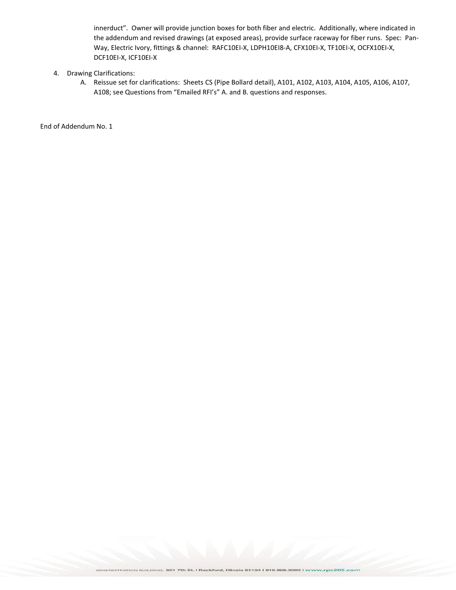innerduct". Owner will provide junction boxes for both fiber and electric. Additionally, where indicated in the addendum and revised drawings (at exposed areas), provide surface raceway for fiber runs. Spec: Pan-Way, Electric Ivory, fittings & channel: RAFC10EI-X, LDPH10EI8-A, CFX10EI-X, TF10EI-X, OCFX10EI-X, DCF10EI-X, ICF10EI-X

- 4. Drawing Clarifications:
	- A. Reissue set for clarifications: Sheets CS (Pipe Bollard detail), A101, A102, A103, A104, A105, A106, A107, A108; see Questions from "Emailed RFI's" A. and B. questions and responses.

End of Addendum No. 1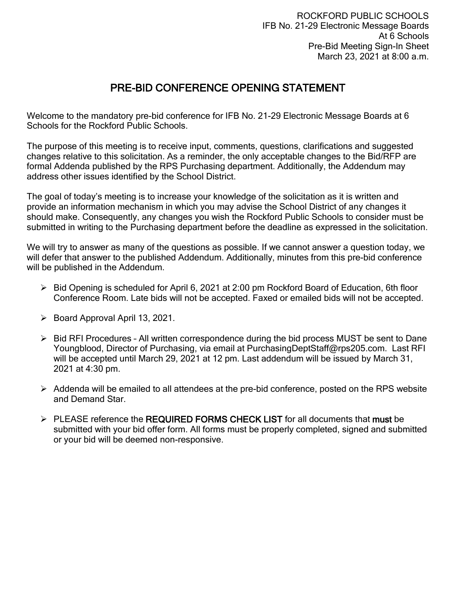# PRE-BID CONFERENCE OPENING STATEMENT

Welcome to the mandatory pre-bid conference for IFB No. 21-29 Electronic Message Boards at 6 Schools for the Rockford Public Schools.

The purpose of this meeting is to receive input, comments, questions, clarifications and suggested changes relative to this solicitation. As a reminder, the only acceptable changes to the Bid/RFP are formal Addenda published by the RPS Purchasing department. Additionally, the Addendum may address other issues identified by the School District.

The goal of today's meeting is to increase your knowledge of the solicitation as it is written and provide an information mechanism in which you may advise the School District of any changes it should make. Consequently, any changes you wish the Rockford Public Schools to consider must be submitted in writing to the Purchasing department before the deadline as expressed in the solicitation.

We will try to answer as many of the questions as possible. If we cannot answer a question today, we will defer that answer to the published Addendum. Additionally, minutes from this pre-bid conference will be published in the Addendum.

- $\triangleright$  Bid Opening is scheduled for April 6, 2021 at 2:00 pm Rockford Board of Education, 6th floor Conference Room. Late bids will not be accepted. Faxed or emailed bids will not be accepted.
- $\triangleright$  Board Approval April 13, 2021.
- $\triangleright$  Bid RFI Procedures All written correspondence during the bid process MUST be sent to Dane Youngblood, Director of Purchasing, via email at PurchasingDeptStaff@rps205.com. Last RFI will be accepted until March 29, 2021 at 12 pm. Last addendum will be issued by March 31, 2021 at 4:30 pm.
- $\triangleright$  Addenda will be emailed to all attendees at the pre-bid conference, posted on the RPS website and Demand Star.
- $\triangleright$  PLEASE reference the REQUIRED FORMS CHECK LIST for all documents that must be submitted with your bid offer form. All forms must be properly completed, signed and submitted or your bid will be deemed non-responsive.